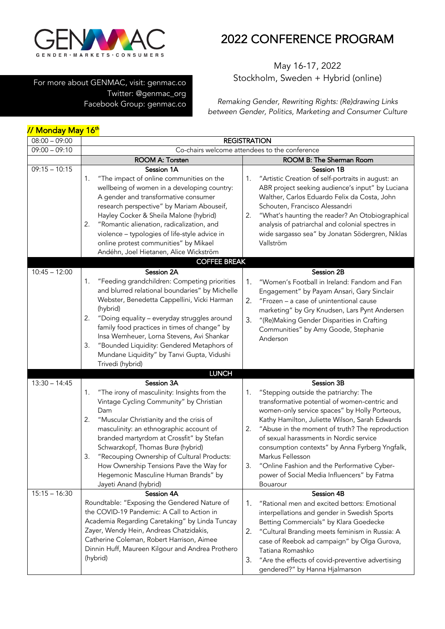

j

٦

// Monday May 16<sup>th</sup>

## 2022 CONFERENCE PROGRAM

May 16-17, 2022 Stockholm, Sweden + Hybrid (online)

For more about GENMAC, visit: genmac.co Twitter: @genmac\_org Facebook Group: genmac.co

*Remaking Gender, Rewriting Rights: (Re)drawing Links between Gender, Politics, Marketing and Consumer Culture*

| $08:00 - 09:00$ | <b>REGISTRATION</b>                                                                                                                                                                                                                                                                                                                                                                                                                                      |                                                                                                                                                                                                                                                                                                                                                                                                                                            |  |
|-----------------|----------------------------------------------------------------------------------------------------------------------------------------------------------------------------------------------------------------------------------------------------------------------------------------------------------------------------------------------------------------------------------------------------------------------------------------------------------|--------------------------------------------------------------------------------------------------------------------------------------------------------------------------------------------------------------------------------------------------------------------------------------------------------------------------------------------------------------------------------------------------------------------------------------------|--|
| $09:00 - 09:10$ | Co-chairs welcome attendees to the conference                                                                                                                                                                                                                                                                                                                                                                                                            |                                                                                                                                                                                                                                                                                                                                                                                                                                            |  |
|                 | ROOM A: Torsten                                                                                                                                                                                                                                                                                                                                                                                                                                          | ROOM B: The Sherman Room                                                                                                                                                                                                                                                                                                                                                                                                                   |  |
| $09:15 - 10:15$ | Session 1A<br>"The impact of online communities on the<br>1.<br>wellbeing of women in a developing country:<br>A gender and transformative consumer<br>research perspective" by Mariam Abouseif,<br>Hayley Cocker & Sheila Malone (hybrid)<br>2.<br>"Romantic alienation, radicalization, and<br>violence - typologies of life-style advice in<br>online protest communities" by Mikael<br>Andéhn, Joel Hietanen, Alice Wickström<br><b>COFFEE BREAK</b> | Session 1B<br>"Artistic Creation of self-portraits in august: an<br>1.<br>ABR project seeking audience's input" by Luciana<br>Walther, Carlos Eduardo Felix da Costa, John<br>Schouten, Francisco Alessandri<br>"What's haunting the reader? An Otobiographical<br>2.<br>analysis of patriarchal and colonial spectres in<br>wide sargasso sea" by Jonatan Södergren, Niklas<br>Vallström                                                  |  |
| $10:45 - 12:00$ | Session 2A                                                                                                                                                                                                                                                                                                                                                                                                                                               | Session 2B                                                                                                                                                                                                                                                                                                                                                                                                                                 |  |
|                 | "Feeding grandchildren: Competing priorities<br>1.<br>and blurred relational boundaries" by Michelle<br>Webster, Benedetta Cappellini, Vicki Harman<br>(hybrid)<br>2.<br>"Doing equality - everyday struggles around<br>family food practices in times of change" by<br>Insa Wemheuer, Lorna Stevens, Avi Shankar<br>3.<br>"Bounded Liquidity: Gendered Metaphors of<br>Mundane Liquidity" by Tanvi Gupta, Vidushi<br>Trivedi (hybrid)                   | "Women's Football in Ireland: Fandom and Fan<br>1.<br>Engagement" by Payam Ansari, Gary Sinclair<br>2.<br>"Frozen - a case of unintentional cause<br>marketing" by Gry Knudsen, Lars Pynt Andersen<br>3.<br>"(Re)Making Gender Disparities in Crafting<br>Communities" by Amy Goode, Stephanie<br>Anderson                                                                                                                                 |  |
|                 | <b>LUNCH</b>                                                                                                                                                                                                                                                                                                                                                                                                                                             |                                                                                                                                                                                                                                                                                                                                                                                                                                            |  |
| $13:30 - 14:45$ | Session 3A<br>"The irony of masculinity: Insights from the<br>1.<br>Vintage Cycling Community" by Christian                                                                                                                                                                                                                                                                                                                                              | Session 3B<br>"Stepping outside the patriarchy: The<br>1.                                                                                                                                                                                                                                                                                                                                                                                  |  |
|                 | Dam<br>"Muscular Christianity and the crisis of<br>2.<br>masculinity: an ethnographic account of<br>branded martyrdom at Crossfit" by Stefan<br>Schwarzkopf, Thomas Burø (hybrid)<br>"Recouping Ownership of Cultural Products:<br>3.<br>How Ownership Tensions Pave the Way for<br>Hegemonic Masculine Human Brands" by<br>Jayeti Anand (hybrid)                                                                                                        | transformative potential of women-centric and<br>women-only service spaces" by Holly Porteous,<br>Kathy Hamilton, Juliette Wilson, Sarah Edwards<br>"Abuse in the moment of truth? The reproduction<br>2.<br>of sexual harassments in Nordic service<br>consumption contexts" by Anna Fyrberg Yngfalk,<br>Markus Fellesson<br>3.<br>"Online Fashion and the Performative Cyber-<br>power of Social Media Influencers" by Fatma<br>Bouarour |  |
| $15:15 - 16:30$ | Session 4A<br>Roundtable: "Exposing the Gendered Nature of                                                                                                                                                                                                                                                                                                                                                                                               | Session 4B<br>"Rational men and excited bettors: Emotional<br>1.                                                                                                                                                                                                                                                                                                                                                                           |  |